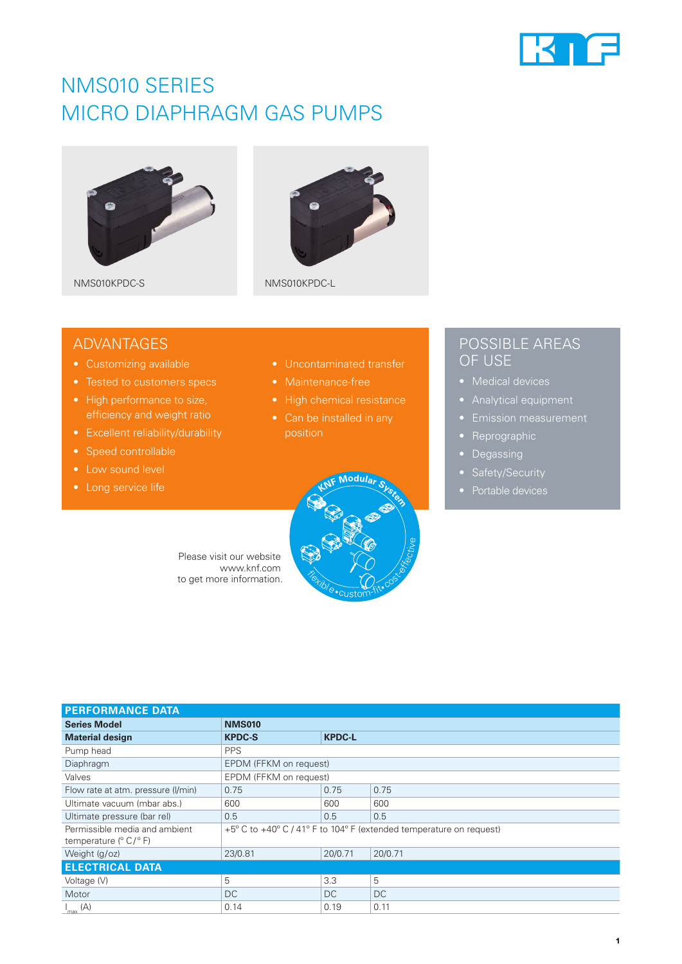

## NMS010 SERIES MICRO DIAPHRAGM GAS PUMPS





NMS010KPDC-S NMS010KPDC-L

## ADVANTAGES

- Customizing available
- 
- High performance to size, efficiency and weight ratio
- Excellent reliability/durability
- Speed controllable
- Low sound level
- 
- Uncontaminated transfer
- 
- 
- position



## POSSIBLE AREAS OF USE

- 
- 
- 
- Reprographic
- Degassing
- 
- 

Please visit our website www.knf.com to get more information.

| <b>PERFORMANCE DATA</b>                                                   |                                                                     |               |         |  |  |
|---------------------------------------------------------------------------|---------------------------------------------------------------------|---------------|---------|--|--|
| <b>Series Model</b>                                                       | <b>NMS010</b>                                                       |               |         |  |  |
| <b>Material design</b>                                                    | <b>KPDC-S</b>                                                       | <b>KPDC-L</b> |         |  |  |
| Pump head                                                                 | <b>PPS</b>                                                          |               |         |  |  |
| Diaphragm                                                                 | EPDM (FFKM on request)                                              |               |         |  |  |
| Valves                                                                    | EPDM (FFKM on request)                                              |               |         |  |  |
| Flow rate at atm. pressure (I/min)                                        | 0.75                                                                | 0.75          | 0.75    |  |  |
| Ultimate vacuum (mbar abs.)                                               | 600                                                                 | 600           | 600     |  |  |
| Ultimate pressure (bar rel)                                               | 0.5                                                                 | 0.5           | 0.5     |  |  |
| Permissible media and ambient<br>temperature $(^{\circ}$ C/ $^{\circ}$ F) | +5° C to +40° C / 41° F to 104° F (extended temperature on request) |               |         |  |  |
| Weight (g/oz)                                                             | 23/0.81                                                             | 20/0.71       | 20/0.71 |  |  |
| <b>ELECTRICAL DATA</b>                                                    |                                                                     |               |         |  |  |
| Voltage (V)                                                               | 5                                                                   | 3.3           | 5       |  |  |
| Motor                                                                     | DC                                                                  | DC.           | DC      |  |  |
| $I_{\text{max}}(A)$                                                       | 0.14                                                                | 0.19          | 0.11    |  |  |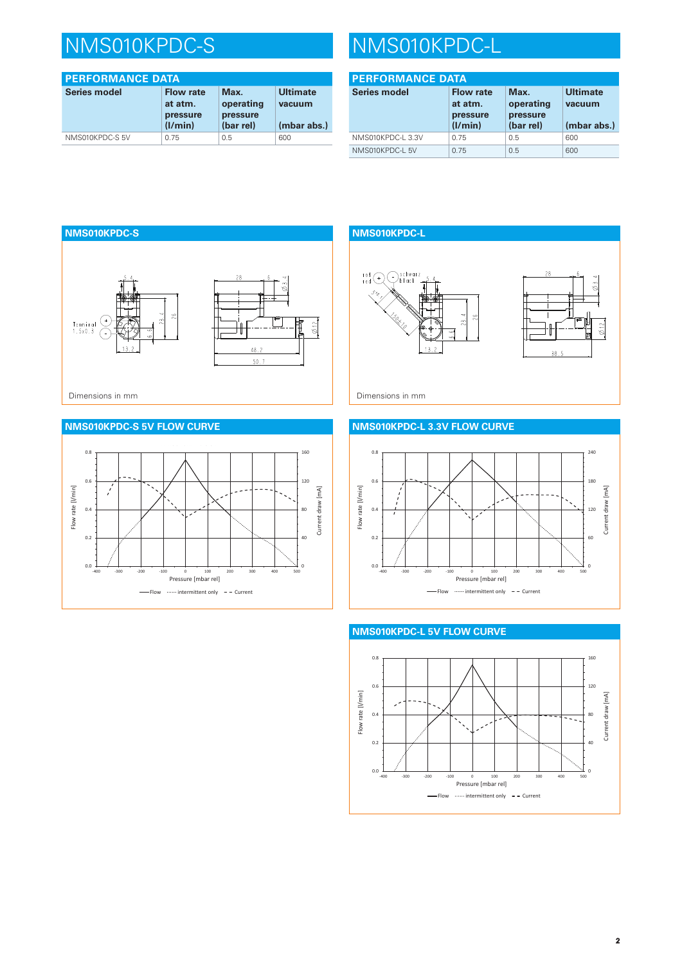# NMS010KPDC-S NMS010KPDC-L

| <b>PERFORMANCE DATA</b> |                                         |                               |                           |  |  |
|-------------------------|-----------------------------------------|-------------------------------|---------------------------|--|--|
| <b>Series model</b>     | <b>Flow rate</b><br>at atm.<br>pressure | Max.<br>operating<br>pressure | <b>Ultimate</b><br>vacuum |  |  |
|                         | (1/min)                                 | (bar rel)                     | (mbar abs.)               |  |  |
| NMS010KPDC-S 5V         | 0.75                                    | 0.5                           | 600                       |  |  |

| <b>PERFORMANCE DATA</b> |                                                    |                                            |                                          |  |  |
|-------------------------|----------------------------------------------------|--------------------------------------------|------------------------------------------|--|--|
| <b>Series model</b>     | <b>Flow rate</b><br>at atm.<br>pressure<br>(1/min) | Max.<br>operating<br>pressure<br>(bar rel) | <b>Ultimate</b><br>vacuum<br>(mbar abs.) |  |  |
| NMS010KPDC-L3.3V        | 0.75                                               | 0.5                                        | 600                                      |  |  |
| NMS010KPDC-L 5V         | 0.75                                               | 0.5                                        | 600                                      |  |  |





## **NMS010KPDC-L 3.3V FLOW CURVE**





### **NMS010KPDC-S 5V FLOW CURVE**